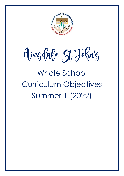

Ainglabe St Johnig

Whole School Curriculum Objectives Summer 1 (2022)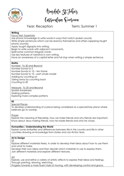

Aingdale St Fohn'g<br>Curriculum Qverview

Year: Reception Term: Summer 1

#### **Writing**

Focus Text: Supertato

Use phonic knowledge to write words in ways that match spoken sounds. Write simple sentences which can be read by themselves and others (applying taught phonic sounds).

Apply taught digraphs into writing.

Begin to write words with adjacent consonants.

Spell some common irregular words.

Use key features of narrative in own writing.

Have an awareness of a capital letter and full stop when writing a simple sentence.

# **Maths**

Number: To 20 and Beyond Number bonds to 5 Number bonds to 10 – ten frame Number bonds to 10 – part whole model Adding by counting on Taking away by counting back Counting to 20

Measure: To 20 and Beyond Spatial Awareness Making patterns Exploring more complex patterns

#### **RE**

# Special Places

To develop understanding of a place being considered as a special/holy place where believers go to worship.

Prayer

Explore the meaning of friendship, how we make friends and why friends are important. Know about Jesus making friends, how he made friends and who he chose.

# **Humanities / Understanding the World**

Explain some similarities and differences between life in this country and life in other countries drawing on knowledge from stories and non-fiction texts.

# **Art & Design**

DT

Explore different materials freely, in order to develop their ideas about how to use them and what to make.

Develop their own ideas and then decide which materials to use to express them. Join different materials and explore different textures.

Art

Explore, use and refine a variety of artistic effects to express their ideas and feelings. Through painting, drawing, sketching.

Progress towards a more fluent style of moving, with developing control and grace.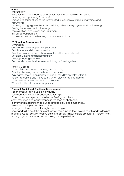# **Music**

Big Bear Funk

Transition unit that prepares children for their musical learning in Year 1.

Listening and appraising Funk music.

Embedding foundations of the interrelated dimensions of music using voices and instruments.

Learning to sing Big Bear Funk and revisiting other nursery rhymes and action songs.

Playing instruments within the song.

Improvisation using voices and instruments.

Riff-based composition.

Share and perform the learning that has taken place.

# **PE / Physical Development**

# **Gymnastics**

Copy and create shapes with your body.

Create shapes whilst on apparatus.

Develop balancing and taking weight on different body parts.

Develop jumping and landing safely.

Develop rocking and rolling.

Copy and create short sequences linking actions together.

# Fitness / Games

Work safely and develop running and stopping.

Develop throwing and learn how to keep score.

Play games showing an understanding of the different roles within it.

Follow instructions and move safely when playing tagging games.

Work co-operatively and learn to take turns.

Work with others to play team games.

# **Personal, Social and Emotional Development**

See themselves as valuable individuals.

Build constructive and respectful relationships

Express their feelings and consider the feelings of others.

Show resilience and perseverance in the face of challenge.

Identify and moderate their own feelings socially and emotionally.

Think about the perspectives of others.

Manage their own needs through personal hygiene.

Know and talk about the different factors that support their overall health and wellbeing: regular physical activity, healthy eating, tooth brushing, sensible amounts of 'screen time', having a good sleep routine and being a safe pedestrian.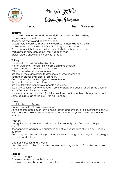

Aingdale St Fohnig<br>Curriculum Qverview

Year: 1 Term: Summer 1

#### **Reading**

Focus Text: It Was a Dark and Stormy Night by Janet and Allen Ahlberg

Learn to appreciate rhymes and poems.

Recite some rhymes and poems by heart. Discuss word meanings, linking new meanings to those already known.

Make inferences on the basis of what is being said and done.

Predict what might happen on the basis of what has been read so far.

Participate in discussion about what has been read.

Explain clearly understanding of what is read.

# **Writing**

Focus Text: Toys in Space by Mini Grey

Written Outcome: Fiction – Story based on same structure.

Orally compose a sentence before writing it.

Write key words and new vocabulary.

Use some simple description to describe a character or setting.

Begin to link ideas by subject or pronoun.

Combine words to make single clause sentence.

Use *and* to join words and clauses.

Use capital letters for names of people and places.

Use punctuation in some sentences: Some full stops and capital letters. Some question marks. Some exclamation marks.

Some accurate use of suffixes (-ed) for past tense endings with no change to the root. Some accurate use of the prefix -un e.g. unhappy.

#### **Maths**

Multiplication and Division

Count in multiples of twos, fives and tens.

Solve one step problems involving multiplication and division, by calculating the answer using concrete objects, pictorial representations and arrays with the support of the teacher.

# Fractions

Recognise, find and name a half as one of two equal parts of an object, shape or quantity.

Recognise, find and name a quarter as one of four equal parts of an object, shape or quantity.

Compare, describe and solve practical problems for: lengths and heights, mass/weight, capacity and volume.

# Geometry (Position and Direction)

Describe position, direction and movement, including whole, half, quarter and three quarter turns.

# **Science**

Seasonal Changes

Observe changes across the four seasons.

Observe and describe weather associated with the seasons and how day length varies.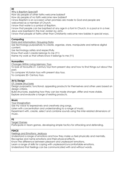#### **RE**

Why is Baptism Special?

How do people of other faiths welcome babies?

How do people of no faith welcome new babies?

I know Baptism is an occasion when promises are made to God and people are welcomed as a member of Church.

I know that water is a symbol of Baptism.

I know that people can be baptised at any age in a font in Church, in a pool or in a river. Jesus was baptised in the river Jordan by John.

I know that people of faiths other than Christianity welcome new babies in special ways.

#### **Computing**

Data and Information: Grouping Data

Use technology purposefully to create, organise, store, manipulate and retrieve digital content.

Use technology safely and respectfully.

Know that work I create belongs to me (Y1)

Name my work so that others know it belongs to me (Y1)

#### **Humanities**

Changes Within Living Memory: Toys

To look at favourite 21<sup>s</sup> Century toys from present day and how to find things out about the past.

To compare Victorian toys with present day toys.

To compare 20<sup>th</sup> Century toys.

# **Art & Design**

DT: Stable Structures

Design purposeful, functional, appealing products for themselves and other users based on design criteria.

Build structures, exploring how they can be made stronger, stiffer and more stable. Explore and evaluate a range of existing products.

#### **Music**

Your Imagination

Use my voice to expressively and creatively sing songs.

Listen with concentration and understanding to a range of music.

Experiment with, create, select and combine sounds using the inter-related dimensions of music.

#### **PE**

Target Games

Participate in team games, developing simple tactics for attacking and defending.

#### **PSHCE**

Feelings and Emotions: Jealousy

Understand a range of emotions and how they make us feel physically and mentally.

Recognise and name emotions and their physical effects.

Know the difference between pleasant and unpleasant emotions.

Learn a range of skills for coping with unpleasant/uncomfortable emotions.

Understand that feelings can be communicated with and without words.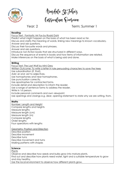

Aingdale St Fohn'g<br>Curriculum Qverview

# Year: 2 Term: Summer 1

#### **Reading**

Focus Text: Fantastic Mr Fox by Roald Dahl

Predict what might happen on the basis of what has been read so far.

Discuss and clarify the meaning of words, linking new meanings to known vocabulary.

Answer and ask questions.

Discuss their favourite words and phrases.

Answer and ask questions.

Introduce non-fiction books that are structured in different ways.

Discuss the sequence of events in books and how items of information are related.

Make inferences on the basis of what is being said and done.

#### **Writing**

Focus Text: The Last Wolf by Mini Grey

Written Outcome: To write a letter in role persuading characters to save the trees

Use subordination (if, that).

Add -er and -est to adjectives.

Use homophones and near homophones.

Use punctuation correctly.

Use apostrophes for contracted forms.

Include detail and description to inform the reader.

Use a range of sentence forms to address the reader.

Write in 1st person.

Include personal comments and own viewpoint.

Use openings and closings e.g. dear, opening statement to state why we are writing, from.

#### **Maths**

Number: Length and Height Compare lengths and heights Measure lengths Measure length (cm) Measure length (m) Compare lengths Order lengths Four operations with lengths

Geometry: Position and Direction Describe position Describe movement Describe turns

Describe movement and turns Making patterns with shapes

# **Science**

**Plants** 

Observe and describe how seeds and bulbs grow into mature plants.

Find out and describe how plants need water, light and a suitable temperature to grow and stay healthy.

Use the local environment to observe how different plants grow.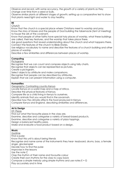Observe and record, with some accuracy, the growth of a variety of plants as they change over time from a seed or bulb.

Observe similar plants at different stages of growth; setting up a comparative test to show that plants need light and water to stay healthy.

#### **RE**

Church

Know that the church is a special place where Christians meet to worship and pray. Know the story of Moses and the people of God building the tabernacle (tent of meeting) to house the ark of the covenant.

Know that people of other faiths have special holy places of worship, what these buildings are called, their key features, and the worship that takes place there.

Ask good questions that reveal understanding about the church and what happens there. Connect the features of the church to Bible Stories.

Use religious vocabulary to name and describe the features of a church building and other places of worship.

Describe a few similarities and differences between places of worship.

# **Computing**

**Pictograms** 

Recognise that we can count and compare objects using tally charts.

Recognise that objects can be represented as pictures.

Create a pictogram.

Select objects by attribute and make comparisons.

Recognise that people can be described by attributes.

Explain that we can present information using a computer.

# **Humanities**

Geography: Contrasting country Kenya

Locate Kenya on a world map and a map of Africa.

Describe the physical features of Kenya.

Compare life as a child living in Kenya to ourselves.

Identify animals that you would find in the savannah.

Describe how the climate affects the food produced in Kenya.

Compare Kenya and England, describing similarities and differences.

# **Art & Design**

DT: Pizzas

Find out what the favourite pizzas in the class are.

Examine, describe and categorise a variety of bread-based products.

Examine, describe and categorise a variety of pizza toppings.

Design a balanced healthy pizza.

Make and evaluate a food product based on a design.

# **Music**

Zootime Find a pulse Know that this unit is about being friends Recognise and name some of the instruments they hear- keyboard, drums, bass, a female singer, glockenspiel Decide how to find the pulse Improvise in the lessons Use the note C Clap the rhythm of their name and favourite colour Create their own rhythms for the class to copy back Compose a simple melody using simple rhythms and use notes E + G Play accurately and in time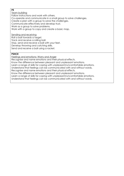# **PE**

Team building

Follow instructions and work with others.

Co-operate and communicate in a small group to solve challenges.

Create a plan with a group to solve the challenges.

Communicate effectively and develop trust.

Work as a group to solve problems.

Work with a group to copy and create a basic map.

Sending and receiving

Roll a ball towards a target.

Track and receive a rolling ball.

Stop, send and receive a ball with your feet.

Develop throwing and catching skills.

Send and receive a ball using a racket.

# **PSHCE**

Feelings and emotions: Worry and Anger

Recognise and name emotions and their physical effects.

Know the difference between pleasant and unpleasant emotions.

Learn a range of skills for coping with unpleasant/uncomfortable emotions.

Understand that feelings can be communicated with and without words.

Recognise and name emotions and their physical effects.

Know the difference between pleasant and unpleasant emotions.

Learn a range of skills for coping with unpleasant/uncomfortable emotions.

Understand that feelings can be communicated with and without words.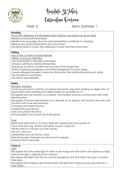

Aingdale St Fohnig<br>Curriculum Qverview

Year: 3 Term: Summer 1

# **Reading**

Focus Text: Reading: The Illustrated Atlas of Britain and Ireland by Struan Reid Retrieve and record information.

Identify how language, structure and presentation contribute to meaning. Retrieve and record information from non-fiction.

Use dictionaries to check the meaning of words that they have read.

# **Writing**

Focus Text: Journey by Aaron Becker

Written Outcome: Narrative

Use small details to describe characters.

Include a setting to create atmosphere.

Sequence of events to follow the structure of the model story.

Write an opening paragraph and further paragraphs for each stage.

Create dialogue between characters that shows their relationship with each other.

Use 3rd person consistently.

Use tenses appropriately.

# **Maths**

Number: Fractions

Count up and down in tenths; recognise that tenths arise from dividing an object into 10 equal parts and in dividing one-digit numbers or quantities by 10.

Recognise and use fractions as numbers: unit fractions and non-unit fractions with small denominators.

Recognise, find and write fractions of a discrete set of objects: unit fractions and non-unit fractions with small denominators.

Compare and order fractions.

Understand equivalence.

Add and subtract fractions.

Solve problems that involve all of the above.

# Time

Read and write times to O'clock, half past, quarter past and quarter to.

Know time facts eg. Months and years, hours in a day etc.

Tell the time to 5 minutes or to the minute.

Use a.m. and p.m.

Understand and use 24-hour clock.

Find the duration between two times and compare.

Measure time in seconds.

# **Science**

Light

Recognise that they need light in order to see things and that dark is the absence of light. Notice that light is reflected from surfaces.

Recognise that light from the sun can be dangerous and that there are ways to protect their eyes.

Recognise that shadows are formed when the light from a light source is blocked by a solid object.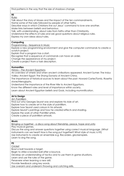Find patterns in the way that the size of shadows change.

#### **RE** Rules

Talk about the story of Moses and the impact of the ten commandments.

Name some of the rules followed by people of other faiths.

Describe ways in which Christians live out Jesus' command to love one another. Make links between beliefs and behaviour.

Talk, with understanding, about rules from faiths other than Christianity.

Understand the effects of rules and ask good questions about religious rules.

Express my own ideas about rules.

# **Computing**

Programming – Sequence in Music

Explore a new programming environment and give the computer commands to create a scratch project.

Explain that a program has a start.

Recognise that a sequence of commands can have an order.

Change the appearance of my project.

Create a project from a task description.

#### **Humanities**

History – The Ancient Egyptians

An overview of where and when ancient civilisations appeared: Ancient Sumer; The Indus Valley; Ancient Egypt; The Shang Dynasty of Ancient China.

The importance of historical sources to learn about the past: Howard Carter/Tomb, Rosetta stone/Hieroglyphs.

Understand the importance of the River Nile to Ancient Egyptians.

Know the different roles and level of importance within society.

Learn about Ancient Egyptian beliefs and Gods, including mummification.

# **Art & Design**

Art: Pointillism

Find out who Georges Seurat was and explore his style of art.

Explore how to create art in the style of pointillism.

Explore how Seurat used colours in his artwork.

Explore Seurat's paintings and how he created effects and shading.

Explore the work of other Pointillist artists.

Create a piece of pointillism artwork.

#### **Music**

Bringing us together - a disco song about friendship, peace, hope and unity

Play musical games.

Discuss the song and answer questions together using correct musical language. (What instruments can we hear? How is the song put together? What style of music is it?) Use instruments to create an ensemble e.g. Recorders, glockenspiels. Learn to sing the song.

# **PE**

**Cricket** 

Bowl a ball towards a target.

Begin to strike a bowled ball after a bounce.

Develop an understanding of tactics and to use them in game situations.

Learn and use the rules of the game.

Persevere when learning a new skill.

Provide feedback using key words.

Use overarm and underarm throwing and catching skills.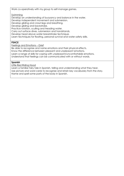Work co-operatively with my group to self-manage games.

Swimming

Develop an understanding of buoyancy and balance in the water.

Develop independent movement and submersion.

Develop gliding and crawl legs and breathing.

Develop gliding and backstroke.

Practice rotation, sculling and treading water.

Carry out surface dives, submersion and handstands.

Develop head above water breaststroke technique.

Learn techniques for floating, personal survival and water safety skills.

# **PSHCE**

Feelings and Emotions – Grief

Be able to recognise and name emotions and their physical effects.

Know the difference between pleasant and unpleasant emotions.

Learn a range of skills for coping with unpleasant/uncomfortable emotions.

Understand that feelings can be communicated with or without words.

#### **Spanish**

Little Red Riding Hood

Learn a familiar fairy tale in Spanish, telling and understanding what they hear. Use picture and word cards to recognise and retain key vocabulary from the story. Name and spell some parts of the body in Spanish.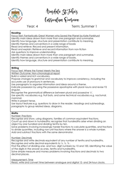

Aingdale St Fohnig<br>Cussiculum Qvesview

Year: 4 Term: Summer 1

#### **Reading**

Focus Text: Fantastically Great Women who Saved the Planet by Kate Pankhurst Identify main ideas drawn from more than one paragraph and summarise.

Identify how language, structure and presentation contribute to meaning.

Identify themes and conventions in a wide range of books

Read and retrieve: Record and present information.

Read and explain: Retrieve and record information from non-fiction

Ask questions to improve understanding.

Identify main ideas drawn from more than one paragraph and summarise.

Identify themes and conventions in a wide range of books.

Identify how language, structure and presentation contribute to meaning.

# **Writing**

Focus Text: Where the Forrest Meets the Sea

Written Outcome: Non-chronological report

Build a varied and rich vocabulary.

Propose changes to grammar and vocabulary to improve consistency, including the accurate use of pronouns in sentences.

Use paragraphs to organise information and ideas around a theme.

Indicate possession by using the possessive apostrophe with plural nouns and revise Y2 singular.

Recognise the grammatical difference between plural and possessive 's'.

Use specific vocabulary e.g. fruit bats, and some technical vocabulary e.g. nocturnal, mammal.

Write in present tense.

Use layout features e.g. questions to draw in the reader, headings and subheadings, paragraphs to group related ideas, diagrams.

# **Maths**

Number: Fractions

Recognise and show, using diagrams, families of common equivalent fractions. Count up and down in hundredths; recognise that hundredths arise when dividing an object by one hundred and dividing tenths by ten.

Solve problems involving increasingly harder fractions to calculate quantities, and fractions to divide quantities, including non-unit fractions where the answer is a whole number. Add and subtract fractions with the same denominator.

# Number: Decimals

Recognise and write decimals equivalent of any number of tenths and hundredths. Recognise and write decimal equivalents to ¼, ½, ¾ .

Find the effect of dividing one- and two- digit numbers by 10 and 100, identifying the value of the digits in the answer as ones, tenths and hundredths.

Solve simple measure and money problems involving fractions and decimals to two decimal places.

Measurement: Time Read, write and convert time between analogue and digital 12- and 24-hour clocks.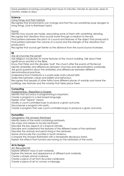Solve problems involving converting from hours to minutes; minutes to seconds; years to months; weeks to days.

# **Science**

Living things and their habitats

Recognise that environments can change and that this can sometimes pose dangers to living things. (Link to Rainforest topic)

# Sound

Identify how sounds are made, associating some of them with something vibrating. Recognise that vibrations from sounds travel through a medium to the ear.

Find patterns between the pitch of a sound and features of the object that produced it. Find patterns between the volume of a sound and the strength of the vibrations that produced it.

Recognise that sounds get fainter as the distance from the sound source increases.

# **RE**

Are all churches the same?

Use religious vocabulary to name features of the church building, talk about their significance and link to the Bible.

Know that Peter and the disciples 'built' the church after the events of Pentecost. Identify similarities and differences between churches and denominations worldwide. Ask good questions about the similarities and differences between different

denominational practices.

Understand that Christianity is a world-wide multi-cultural faith.

Make links between values and beliefs and behaviour.

Recognise that people of other faiths have different places of worship and name the buildings, key features and the worship that takes place there.

# **Computing**

Programming – Repetition in Shapes

Identify that accuracy in programming is important.

Create a program in a text-based language.

Explain what 'repeat' means.

Modify a count-controlled loop to produce a given outcome.

Decompose a program into parts.

Create a program that uses count-controlled loops to produce a given outcome.

# **Humanities**

Geography: The Amazon Rainforest

Identify areas of the world containing rainforests.

Use maps and atlases to locate rainforests.

Describe the key aspects of a tropical climate.

Describe and understand the features of the different layers of the rainforest.

Describe the animals and plants living in the rainforest.

Name and locate the countries in South America.

Compare the Amazon Rainforest with a temperate deciduous forest.

Explain the effects that humans are having on the rainforests of the world.

# **Art & Design**

Art: Recycled Art

Explore different ways to join materials.

Explore the texture and appearance of different junk materials.

Create a simple animal sculpture.

Create a piece of art from recycled cardboard.

Create a piece of art to convey a message.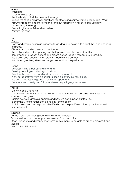# **Music**

**Blackbird** Listen and appraise. Use the body to find the pulse of the song. Discuss the song and answer questions together using correct musical language (What instruments can we hear? How is the song put together? What style of music is it?) Learn to sing the song. Play with glockenspiels and recorders. Perform the song.

# **PE**

Dance

Copy and create actions in response to an idea and be able to adapt this using changes of space.

Choose actions which relate to the theme.

Use actions, dynamics, spacing and timing to represent a state of matter.

Remember and repeat actions and create dance ideas in response to a stimulus.

Use action and reaction when creating ideas with a partner.

Use choreographing ideas to change how actions are performed.

Tennis

Develop hitting a ball using a forehand.

Develop retuning a ball using a forehand.

Develop the backhand and understand when to use it.

Work co-operatively with a partner to keep a continuous rally going.

Use simple tactics in a game to outwit an opponent.

Demonstrate honesty and fair play when competing against others.

# **PSHCE**

Growing and Changing

Identify the different types of relationships we can have and describe how these can change as we grow.

Explain how our families support us and how we can support our families.

Identify how relationships can be healthy or unhealthy.

Explain how to ask for help and identify who can help us if a relationship makes us feel uncomfortable.

# **Spanish**

At the Café – continuing due to La Fiestaval rehearsal

To understand and use set phrases to order food and drink.

Read, recognise and pronounce words from a menu to be able to order a breakfast and snacks.

Ask for the bill in Spanish.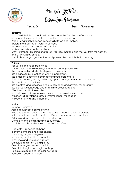

Aingdale St Fohnig<br>Cussiculum Qvesview

# Year: 5 Term: Summer 1

#### **Reading**

Focus Text: Pollution: a look behind the scenes by The Literacy Company

Summarise the main ideas from more than one paragraph.

Predict what might happen from details stated and implied.

Explore the meaning of words in context.

Retrieve, record and present information.

Make comparisons within and across books.

Draw inferences (inferring characters' feelings, thoughts and motives from their actions) and justify with evidence.

Identify how language, structure and presentation contribute to meaning.

# **Writing**

Focus Text: The Paperbag Prince

Written Outcome: Persuasive/information poster (hybrid text)

Use modal verbs to indicate degrees of possibility.

Use devices to build cohesion within a paragraph.

Use brackets, dashes or commas to indicate parenthesis.

Enhance meaning through selecting appropriate grammar and vocabulary.

Use precise word choices.

Use emotive language including use of modals and adverbs for possibility.

Use persuasive language quotes and rhetorical questions.

Directly appeal to the reader.

Support points using persuasive examples and provide evidence.

Provide well-developed factual information for the reader.

Include a summarising statement.

# **Maths**

Number: Decimals

Add and subtract decimals within 1.

Add and subtract decimals with the same number of decimal places.

Add and subtract decimals with a different number of decimal places.

Adding and subtracting wholes and decimals.

Complete and explain decimal sequences.

Multiply and divide decimals by 10, 100 and 1000.

Geometry: Properties of shape

Identify, compare and order angles.

Measuring angles in degrees.

Measuring angles with a protractor.

Draw lines and angles accurately.

Calculate angles on a straight line.

Calculate angles around a point.

Calculate lengths and angles in shapes.

To explore regular and irregular polygons.

Reasoning about 3D shapes.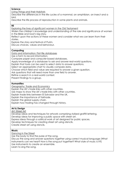#### **Science**

Living Things and their Habitats

Describe the differences in the life cycles of a mammal, an amphibian, an insect and a bird.

Describe the life process of reproduction in some plants and animals.

#### **RE**

Exploring the lives of significant women in the Old Testament

Widen the children's knowledge and understanding of the role and significance of women in the Bible and God's big story.

Reflect upon the actions of these women and consider what we can learn from their stories.

Explore the story and festival of Purim.

Discuss choices, values and behaviour.

#### **Computing**

Data and information: Flat-file databases

Use a form to record information.

Compare paper and computer-based databases.

Apply knowledge of a database to ask and answer real-world questions.

Explain that tools can be used to select data to answer questions.

Select an appropriate chart to visually compare data.

Choose which field and value are required to answer a given question.

Ask questions that will need more than one field to answer.

Refine a search in a real-world context.

Present findings to a group.

#### **Humanities**

Geography: Trade and Economics

Explain the UK's trade links with other countries.

Use maps to show the UK's trade links with other countries.

Explain trade links between El Salvador and the UK.

Explain the importance of fairtrade.

Explain the global supply chain.

Explain how trading has changed through history.

#### **Art & Design**

Art: Street Art

Develop ideas and techniques for artwork comprising stylised graffiti lettering.

Develop ideas for improving a public space with street art.

Express ideas through a satirical work of art designed for public spaces.

Develop techniques for creating street art using stencils.

Create street art using stencils.

#### **Music**

Dancing in the Street

Use the body to find the pulse of the song.

Discuss the song and answer questions together using correct musical language (What instruments can we hear? How is the song put together? What style of music is it?) Use instruments to create an ensemble. Learn to sing the song.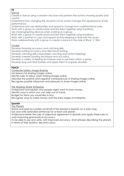# **PE**

Dance

Create a dance using a random structure and perform the actions showing quality and control.

Understand how changing the dynamics of an action changes the appearance of the performance.

Understand and use relationships and space to change how a performance looks.

Work with a group to create poses and link them together using transitions.

Use choreographing devices when working as a group.

Work with a group to create poses and link them together using transitions.

Work with a partner to copy and repeat actions keeping in time with the music.

Work collaboratively with a group to create a dance in the style of Rock 'n' Roll.

# **Cricket**

Develop throwing accuracy and catching skills.

Develop batting accuracy and directional batting.

Develop catching skills (close/deep catching and wicket keeping).

Develop overarm bowling technique and accuracy.

Develop a variety of fielding techniques and to use them within a game.

Develop long and short barriers and apply them to a game situation.

# **PSHCE**

Computer Safety: Image Sharing

List reasons for sharing images online.

Identify rules to follow when sharing images online.

Describe the positive and negative consequences of sharing images online.

Recognise possible influences and pressures to share images online.

The Working World: Enterprise

Understand and explain why people might want to save money.

Identify ways in which you can help out at home.

Budget for items you would like to buy.

Recognise ways to make money and the early stages of enterprise.

# **Spanish**

The Planets

Name and spell accurately some/all of the planets in Spanish on a solar map.

Say and write extended sentences for at least one planet.

Understand better the rules of adjectival agreement in Spanish and apply these rules to work improving grammatical accuracy.

To be able to say and write, with improved accuracy, short phrases describing the planets in terms of their position, size and colour.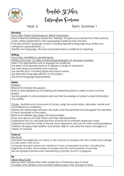

Aingdale St Fohnig<br>Cussiculum Qvesview

# Year: 6 Term: Summer 1

#### **Reading**

Focus Text: Great Adventurers by Alistair Humphreys

Draw inferences (inferring characters' feelings, thoughts and motives from their actions). Justify written explanations with appropriate evidence from the text.

Evaluate authors' language choice, including figurative language (e.g. similes and metaphors, personification…)

Identify how language, structure and presentation contribute to meaning.

# **Writing**

Focus Text: MANFISH by Jennifer Burne

Written Outcome: To write a multi-modal biography of Jacques Cousteau

Select the appropriate style to engage the audience.

Use direct and reported speech to express a range of viewpoints.

Use verb tenses consistently and correctly.

Use real life facts, including dates and place names.

Use thematic language specific to the subject.

Use formal language appropriately.

# **Maths**

**Statistics** 

Read and interpret line graphs.

Build on prior experience of reading and interpreting data in order to draw own line graphs.

Use line graphs to solve problems and use their knowledge of scales to read information accurately.

Circles - Illustrate and name parts of circles, using the words radius, diameter, centre and circumference confidently.

Explore the relationship between the radius and the diameter and recognise the diameter is twice the length of the radius.

Read and interpret pie charts with percentages.

Draw and discuss own pie charts and their representations.

Understand how to calculate fractions of amounts to interpret simple pie charts.

Understand what the whole of the pie chart represents and use this when solving problems. Children will apply their addition and division skills to calculate the mean average in a variety of contexts.

# **Science**

**Electricity** 

Associate the brightness of a lamp or the volume of a buzzer with the number and voltage of cells used in the circuit.

Compare and give reasons for variations in how components function, including the brightness of bulbs, the loudness of buzzers and the on/off position of switches. Use recognised symbols when representing a simple circuit in a diagram.

#### **RE**

# Ideas About God

Discuss which names other faiths (aside from Christianity) give to God. Consider what atheists and humanists believe about the concept of God.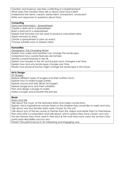Creation and Science: are they conflicting or complimentary? What does The Creation Story tell us about what God is like? Understand the terms: creator, benevolent, omnipotent, omniscient Write own responses to questions about God.

# **Computing**

Data and Information – Spreadsheets Create a data set in a spreadsheet. Build a data set in a spreadsheet. Explain that formulas can be used to produce calculated data. Apply formulas to data. Create a spreadsheet to plan an event. Choose suitable ways to present data.

#### **Humanities**

Geography: The Changing World

Explain how water and weather can change the landscape.

Understand how coastal features are formed.

Identify coastal features in the UK.

Explain how borders in the UK and Europe have changed over time.

Explain how and why landscapes change over time.

Predict how physical factors might change the landscape in the future.

# **Art & Design**

#### DT: Burgers

Explore different types of burgers and their nutrition facts.

Explore how to make burger patties.

Explore sauces and side dishes for burgers.

Explore burger buns and their suitability.

Plan and design a burger to make.

Make a burger and evaluate the process.

#### **Music**

Music and Me

Talk about the music of the featured artists and make connections.

Explain which inspirational woman listed on the timeline they would like to meet and why. Talk about why four female artists were chosen for this unit.

Talk about any of the key words or themes from the videos and relate them to themselves. Plan and write a composition and talk about: *which options they have chosen and why; the key themes they have used in their lyrics & the tools they have used; the sections they* 

*particularly like/dislike and say why*

Present the performance in an interesting and engaging way.